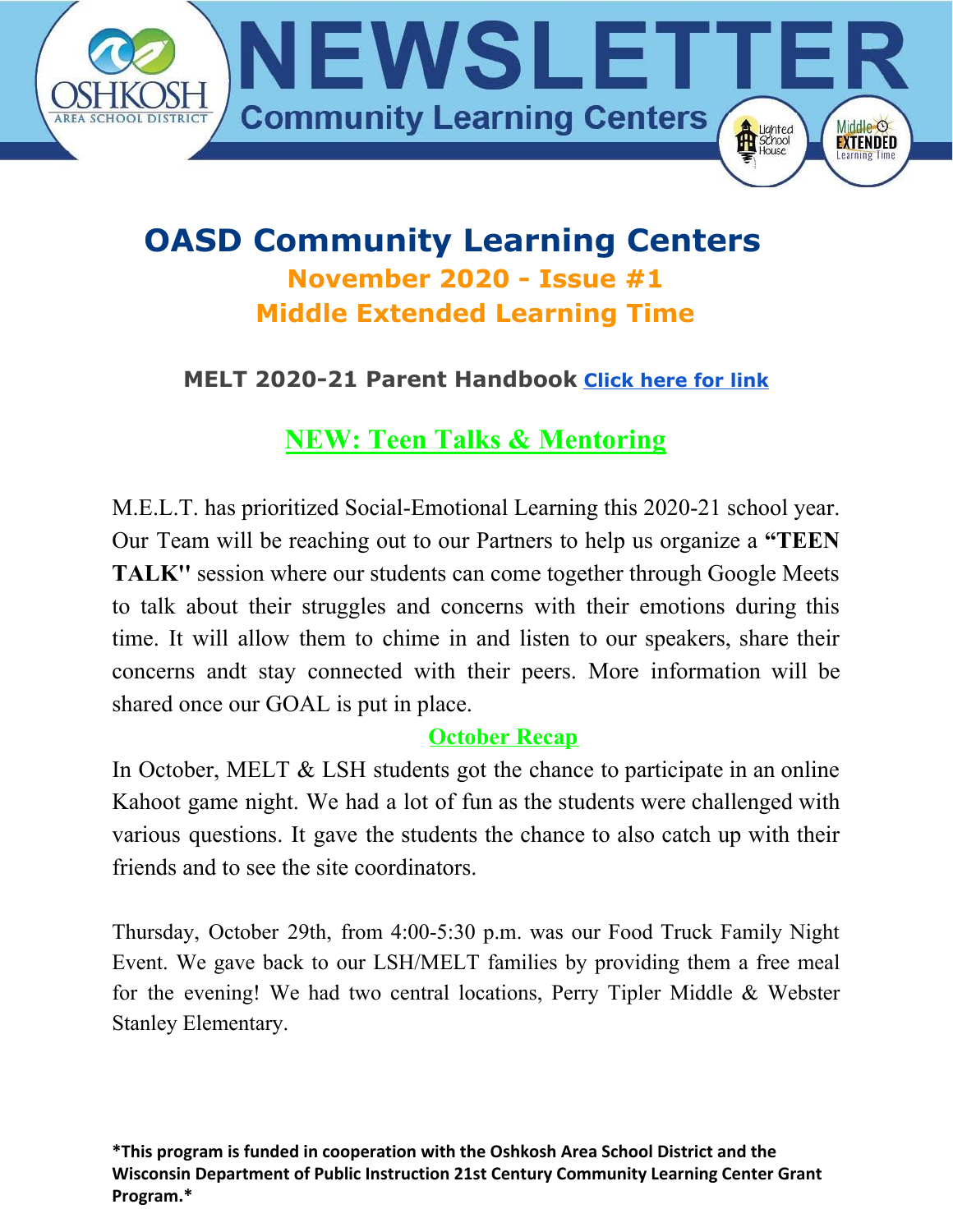

## **OASD Community Learning Centers November 2020 - Issue #1 Middle Extended Learning Time**

### **MELT 2020-21 Parent Handbook [Click here for link](https://docs.google.com/document/d/12LYOqnc-JHmSTQ5mFwKtthqxgWRMOqOKj6KWm4cefyk/edit?usp=sharing)**

### **NEW: Teen Talks & Mentoring**

M.E.L.T. has prioritized Social-Emotional Learning this 2020-21 school year. Our Team will be reaching out to our Partners to help us organize a **"TEEN TALK''** session where our students can come together through Google Meets to talk about their struggles and concerns with their emotions during this time. It will allow them to chime in and listen to our speakers, share their concerns andt stay connected with their peers. More information will be shared once our GOAL is put in place.

#### **October Recap**

In October, MELT  $\&$  LSH students got the chance to participate in an online Kahoot game night. We had a lot of fun as the students were challenged with various questions. It gave the students the chance to also catch up with their friends and to see the site coordinators.

Thursday, October 29th, from 4:00-5:30 p.m. was our Food Truck Family Night Event. We gave back to our LSH/MELT families by providing them a free meal for the evening! We had two central locations, Perry Tipler Middle & Webster Stanley Elementary.

**\*This program is funded in cooperation with the Oshkosh Area School District and the Wisconsin Department of Public Instruction 21st Century Community Learning Center Grant Program.\***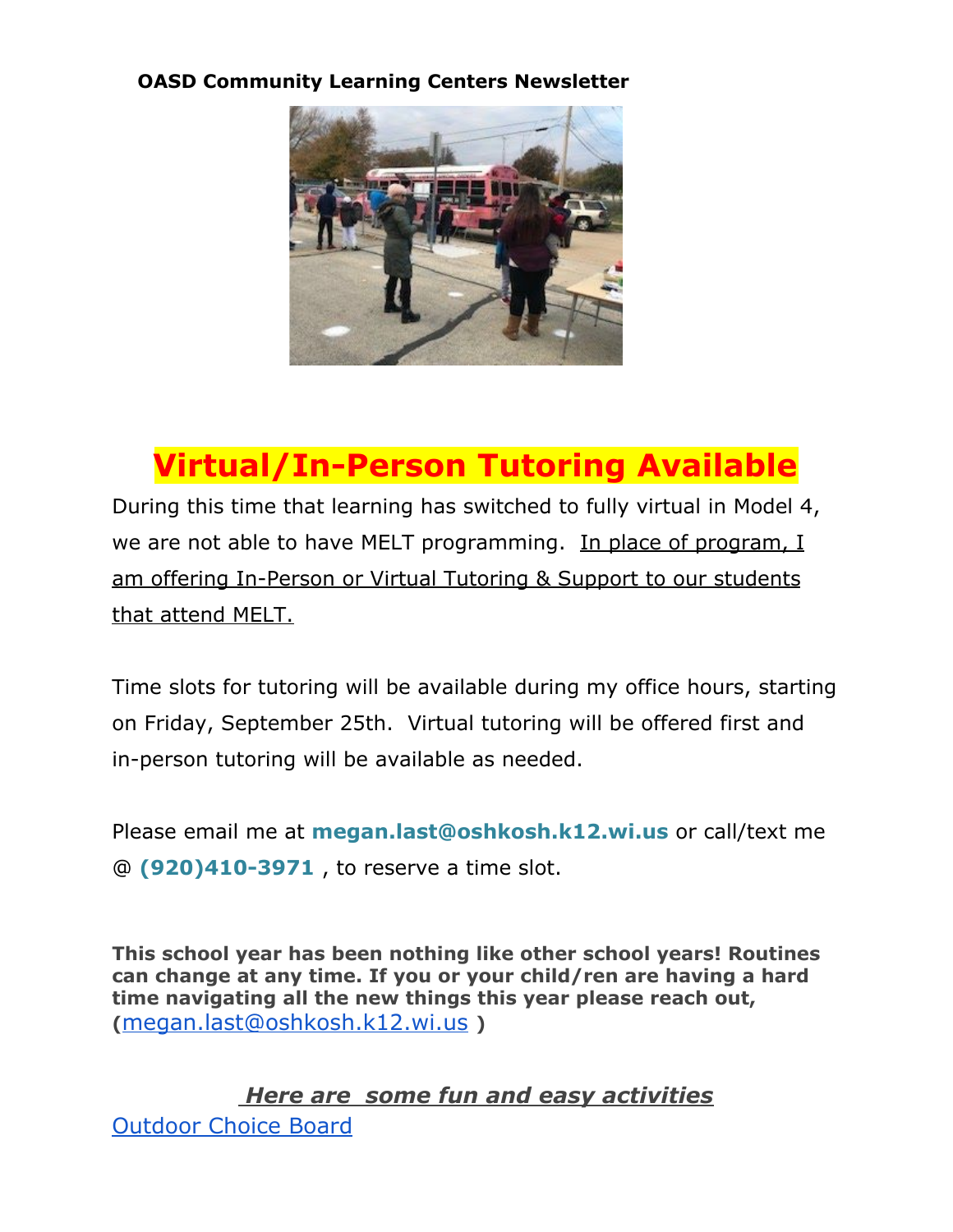#### **OASD Community Learning Centers Newsletter**



## **Virtual/In-Person Tutoring Available**

During this time that learning has switched to fully virtual in Model 4, we are not able to have MELT programming. In place of program, I am offering In-Person or Virtual Tutoring & Support to our students that attend MELT.

Time slots for tutoring will be available during my office hours, starting on Friday, September 25th. Virtual tutoring will be offered first and in-person tutoring will be available as needed.

Please email me at **megan.last@oshkosh.k12.wi.us** or call/text me @ **(920)410-3971** , to reserve a time slot.

**This school year has been nothing like other school years! Routines can change at any time. If you or your child/ren are having a hard time navigating all the new things this year please reach out, (**[megan.last@oshkosh.k12.wi.us](mailto:megan.last@oshkosh.k12.wi.us) **)**

*Here are some fun and easy activities* [Outdoor](https://docs.google.com/document/d/1zaDxyH7Ga6vLluKvS4myPZ331wQA8REhIh7Z1p6xBqg/edit?usp=sharing) Choice Board